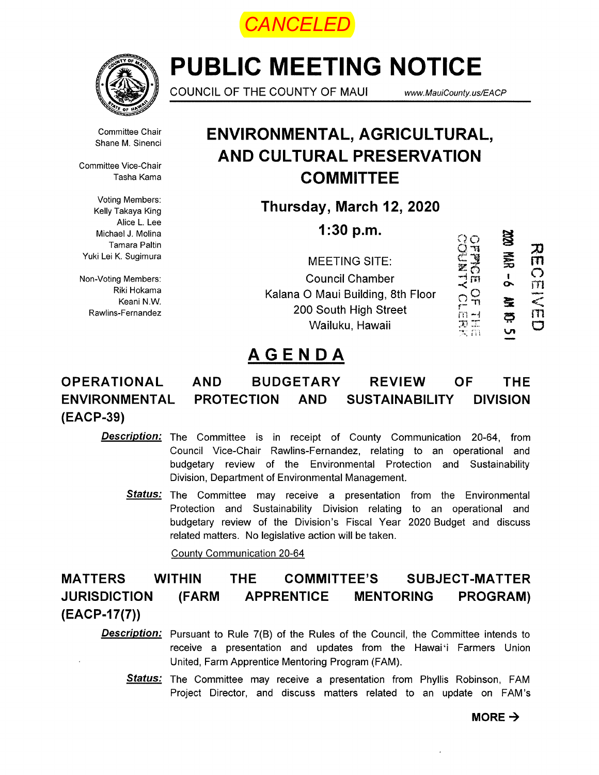*CANCELED*



# PUBLIC MEETING NOTICE

COUNCIL OF THE COUNTY OF MAUI

www.MauiCounty.us/EACP

Committee Chair Shane M. Sinenci

Committee Vice-Chair Tasha Kama

Voting Members: Kelly Takaya King Alice L. Lee Michael J. Molina Tamara Paltin Yuki Lei K. Sugimura

Non-Voting Members: Riki Hokama Keani N.W. Rawlins-Fernandez

# ENVIRONMENTAL, AGRICULTURAL, AND CULTURAL PRESERVATION **COMMITTEE**

Thursday, March 12, 2020

**1:30 p.m.**  $\qquad \qquad \qquad \qquad \qquad \qquad$ 

| 1.30 p.m.                         |       | 岌 | IJ |
|-----------------------------------|-------|---|----|
| <b>MEETING SITE:</b>              |       | 芸 | 71 |
| <b>Council Chamber</b>            | m     |   |    |
| Kalana O Maui Building, 8th Floor |       | 登 |    |
| 200 South High Street             | m – I | ధ |    |
| Wailuku, Hawaii                   |       |   |    |

# AGENDA

#### OPERATIONAL ENVIRONMENTAL (EACP-39) AND BUDGETARY REVIEW OF THE PROTECTION AND SUSTAINABILITY DIVISION

**Description:** The Committee is in receipt of County Communication 20-64, from Council Vice-Chair Rawlins-Fernandez, relating to an operational and budgetary review of the Environmental Protection and Sustainability Division, Department of Environmental Management.

Status: The Committee may receive a presentation from the Environmental Protection and Sustainability Division relating to an operational and budgetary review of the Division's Fiscal Year 2020 Budget and discuss related matters. No legislative action will be taken.

County Communication 20-64

#### WITHIN THE COMMITTEE'S SUBJECT-MATTER (FARM APPRENTICE MENTORING PROGRAM) MATTERS JURISDICTION  $(EACP-17(7))$

**Description:** Pursuant to Rule 7(B) of the Rules of the Council, the Committee intends to receive a presentation and updates from the Hawai'i Farmers Union United, Farm Apprentice Mentoring Program (FAM).

Status: The Committee may receive a presentation from Phyllis Robinson, FAM Project Director, and discuss matters related to an update on FAM's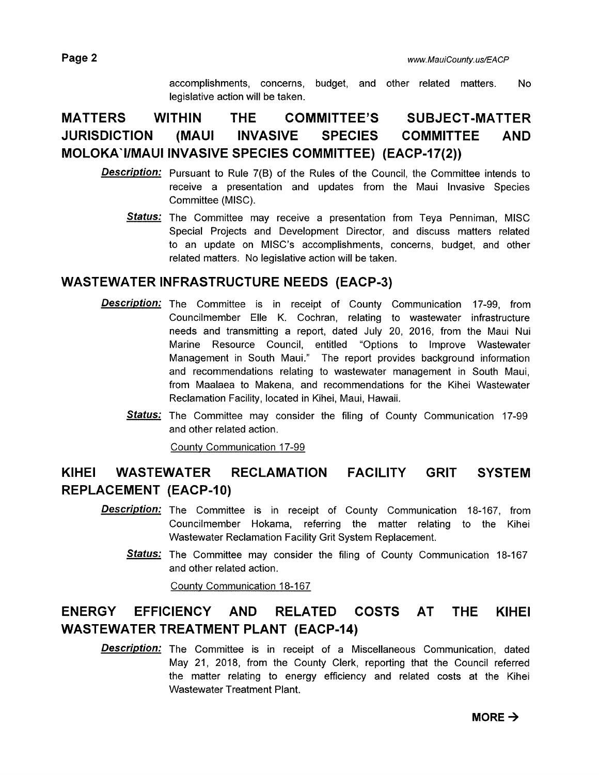accomplishments, concerns, budget, and other related matters. No legislative action will be taken.

## MATTERS WITHIN THE COMMITTEE'S SUBJECT-MATTER JURISDICTION (MAUI INVASIVE SPECIES COMMITTEE AND MOLOKA1/MAUI INVASIVE SPECIES COMMITTEE) (EACP-17(2))

- **Description:** Pursuant to Rule 7(B) of the Rules of the Council, the Committee intends to receive a presentation and updates from the Maui Invasive Species Committee (MISC).
	- **Status:** The Committee may receive a presentation from Teya Penniman, MISC Special Projects and Development Director, and discuss matters related to an update on MISC's accomplishments, concerns, budget, and other related matters. No legislative action will be taken.

### WASTEWATER INFRASTRUCTURE NEEDS (EACP-3)

- **Description:** The Committee is in receipt of County Communication 17-99, from Councilmember Elle K. Cochran, relating to wastewater infrastructure needs and transmitting a report, dated July 20, 2016, from the Maui Nui Marine Resource Council, entitled "Options to Improve Wastewater Management in South Maui." The report provides background information and recommendations relating to wastewater management in South Maui, from Maalaea to Makena, and recommendations for the Kihei Wastewater Reclamation Facility, located in Kihei, Maui, Hawaii.
	- **Status:** The Committee may consider the filing of County Communication 17-99 and other related action.

County Communication 17-99

### KIHEI WASTEWATER RECLAMATION FACILITY GRIT SYSTEM REPLACEMENT (EACP-1O)

- **Description:** The Committee is in receipt of County Communication 18-167, from Councilmember Hokama, referring the matter relating to the Kihei Wastewater Reclamation Facility Grit System Replacement.
	- Status: The Committee may consider the filing of County Communication 18-167 and other related action.

County Communication 18-167

### ENERGY EFFICIENCY AND RELATED COSTS AT THE KIHEI WASTEWATER TREATMENT PLANT (EACP-14)

**Description:** The Committee is in receipt of a Miscellaneous Communication, dated May 21, 2018, from the County Clerk, reporting that the Council referred the matter relating to energy efficiency and related costs at the Kihei Wastewater Treatment Plant.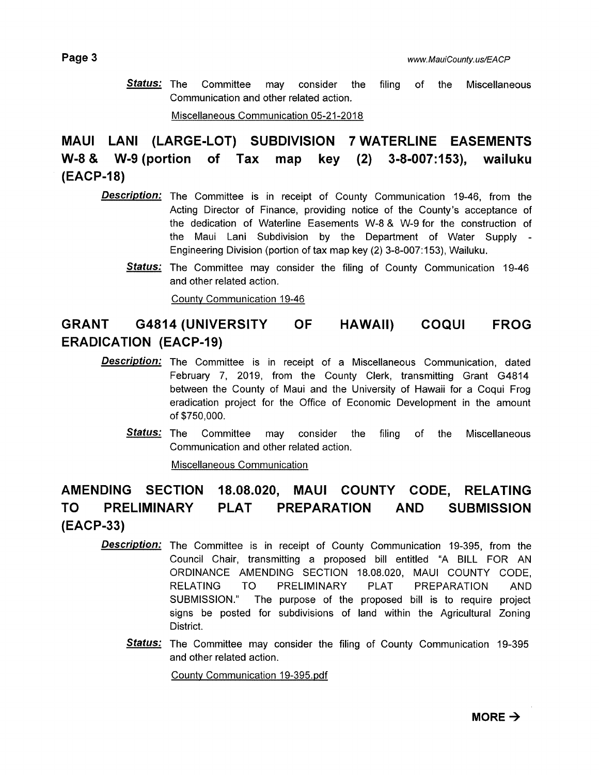**Status:** The Committee may consider the filing of the Miscellaneous Communication and other related action.

Miscellaneous Communication 05-21-2018

MAUI LANI (LARGE-LOT) SUBDIVISION 7 WATERLINE EASEMENTS W-8 & W-9 (portion of Tax map key (2) 3-8-007:153), wailuku (EACP-18)

- **Description:** The Committee is in receipt of County Communication 19-46, from the Acting Director of Finance, providing notice of the County's acceptance of the dedication of Waterline Easements W-8 & W-9 for the construction of the Maui Lani Subdivision by the Department of Water Supply - Engineering Division (portion of tax map key (2) 3-8-007:153), Wailuku.
	- **Status:** The Committee may consider the filing of County Communication 19-46 and other related action.

County Communication 19-46

### GRANT G4814 (UNIVERSITY OF HAWAII) COQUI FROG ERADICATION (EACP-19)

- Description: The Committee is in receipt of a Miscellaneous Communication, dated February 7, 2019, from the County Clerk, transmitting Grant G4814 between the County of Maui and the University of Hawaii for a Coqui Frog eradication project for the Office of Economic Development in the amount of \$750,000.
	- **Status:** The Committee may consider the filing of the Miscellaneous Communication and other related action.

Miscellaneous Communication

### AMENDING SECTION 18.08.020, MAUI COUNTY CODE, RELATING TO PRELIMINARY PLAT PREPARATION AND SUBMISSION (EACP-33)

- **Description:** The Committee is in receipt of County Communication 19-395, from the Council Chair, transmitting a proposed bill entitled "A BILL FOR AN ORDINANCE AMENDING SECTION 18.08.020, MAUl COUNTY CODE, RELATING TO PRELIMINARY PLAT PREPARATION AND SUBMISSION." The purpose of the proposed bill is to require project signs be posted for subdivisions of land within the Agricultural Zoning District.
	- **Status:** The Committee may consider the filing of County Communication 19-395 and other related action.

County Communication 19-395.pdf